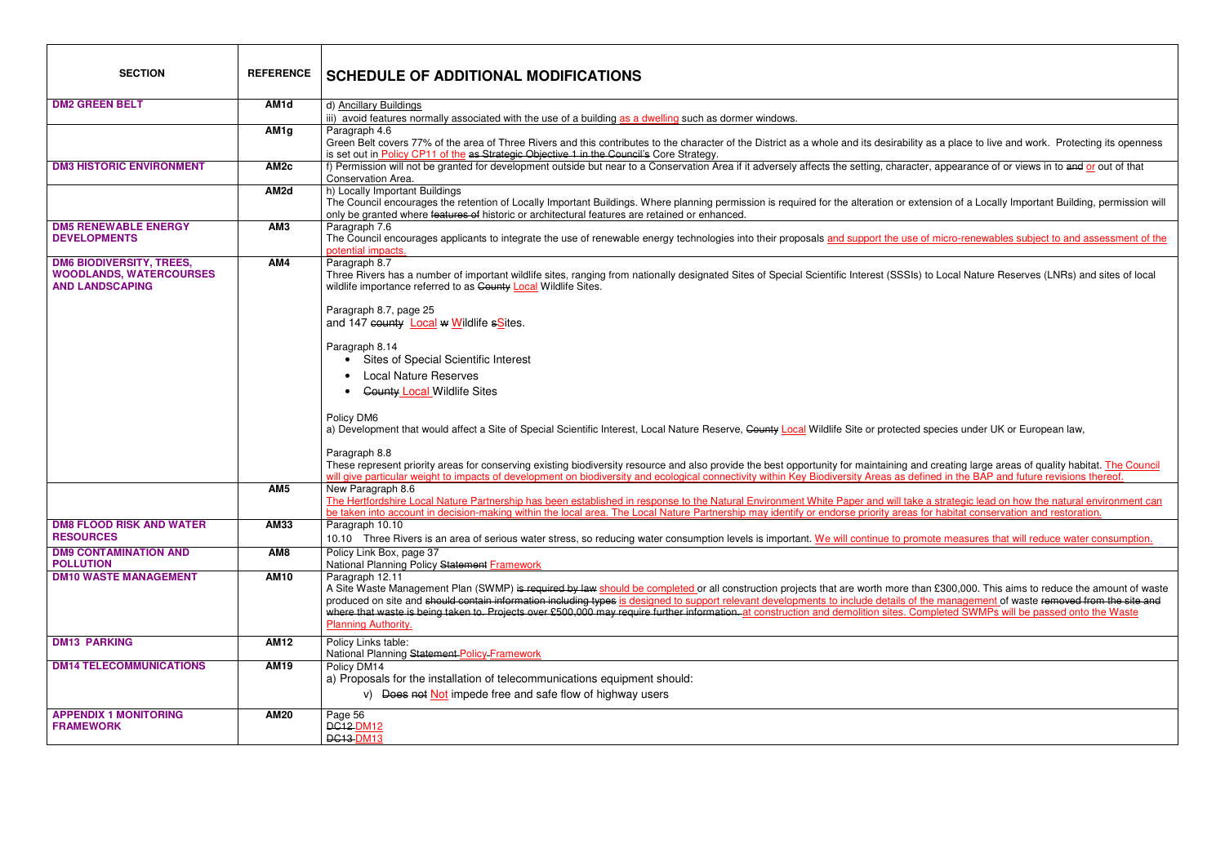| <b>SECTION</b>                                                                              | <b>REFERENCE</b>  | <b>SCHEDULE OF ADDITIONAL MODIFICATIONS</b>                                                                                                                                                                                                                                                                                                                                                                                                                                                                                                                                                                    |
|---------------------------------------------------------------------------------------------|-------------------|----------------------------------------------------------------------------------------------------------------------------------------------------------------------------------------------------------------------------------------------------------------------------------------------------------------------------------------------------------------------------------------------------------------------------------------------------------------------------------------------------------------------------------------------------------------------------------------------------------------|
| <b>DM2 GREEN BELT</b>                                                                       | AM <sub>1</sub> d | d) Ancillary Buildings                                                                                                                                                                                                                                                                                                                                                                                                                                                                                                                                                                                         |
|                                                                                             |                   | iii) avoid features normally associated with the use of a building as a dwelling such as dormer windows.                                                                                                                                                                                                                                                                                                                                                                                                                                                                                                       |
|                                                                                             | AM <sub>1g</sub>  | Paragraph 4.6<br>Green Belt covers 77% of the area of Three Rivers and this contributes to the character of the District as a whole and its desirability as a place to live and work. Protecting its openness<br>is set out in Policy CP11 of the as Strategic Objective 1 in the Council's Core Strategy.                                                                                                                                                                                                                                                                                                     |
| <b>DM3 HISTORIC ENVIRONMENT</b>                                                             | AM <sub>2c</sub>  | f) Permission will not be granted for development outside but near to a Conservation Area if it adversely affects the setting, character, appearance of or views in to and or out of that<br>Conservation Area.                                                                                                                                                                                                                                                                                                                                                                                                |
|                                                                                             | AM <sub>2d</sub>  | h) Locally Important Buildings<br>The Council encourages the retention of Locally Important Buildings. Where planning permission is required for the alteration or extension of a Locally Important Building, permission will<br>only be granted where features of historic or architectural features are retained or enhanced.                                                                                                                                                                                                                                                                                |
| <b>DM5 RENEWABLE ENERGY</b><br><b>DEVELOPMENTS</b>                                          | AM <sub>3</sub>   | Paragraph 7.6<br>The Council encourages applicants to integrate the use of renewable energy technologies into their proposals and support the use of micro-renewables subject to and assessment of the<br>potential impacts.                                                                                                                                                                                                                                                                                                                                                                                   |
| <b>DM6 BIODIVERSITY, TREES,</b><br><b>WOODLANDS, WATERCOURSES</b><br><b>AND LANDSCAPING</b> | AM4               | Paragraph 8.7<br>Three Rivers has a number of important wildlife sites, ranging from nationally designated Sites of Special Scientific Interest (SSSIs) to Local Nature Reserves (LNRs) and sites of local<br>wildlife importance referred to as County Local Wildlife Sites.<br>Paragraph 8.7, page 25                                                                                                                                                                                                                                                                                                        |
|                                                                                             |                   | and 147 county <b>Local w Wildlife sSites</b> .<br>Paragraph 8.14                                                                                                                                                                                                                                                                                                                                                                                                                                                                                                                                              |
|                                                                                             |                   | Sites of Special Scientific Interest<br><b>Local Nature Reserves</b>                                                                                                                                                                                                                                                                                                                                                                                                                                                                                                                                           |
|                                                                                             |                   | <b>County Local Wildlife Sites</b>                                                                                                                                                                                                                                                                                                                                                                                                                                                                                                                                                                             |
|                                                                                             |                   | Policy DM6<br>a) Development that would affect a Site of Special Scientific Interest, Local Nature Reserve, County Local Wildlife Site or protected species under UK or European law,                                                                                                                                                                                                                                                                                                                                                                                                                          |
|                                                                                             |                   | Paragraph 8.8<br>These represent priority areas for conserving existing biodiversity resource and also provide the best opportunity for maintaining and creating large areas of quality habitat. The Council<br>will give particular weight to impacts of development on biodiversity and ecological connectivity within Key Biodiversity Areas as defined in the BAP and future revisions thereof.                                                                                                                                                                                                            |
|                                                                                             | AM <sub>5</sub>   | New Paragraph 8.6<br>The Hertfordshire Local Nature Partnership has been established in response to the Natural Environment White Paper and will take a strategic lead on how the natural environment can<br>be taken into account in decision-making within the local area. The Local Nature Partnership may identify or endorse priority areas for habitat conservation and restoration.                                                                                                                                                                                                                     |
| <b>DM8 FLOOD RISK AND WATER</b><br><b>RESOURCES</b>                                         | <b>AM33</b>       | Paragraph 10.10<br>10.10 Three Rivers is an area of serious water stress, so reducing water consumption levels is important. We will continue to promote measures that will reduce water consumption.                                                                                                                                                                                                                                                                                                                                                                                                          |
| <b>DM9 CONTAMINATION AND</b><br><b>POLLUTION</b>                                            | AM <sub>8</sub>   | Policy Link Box, page 37<br>National Planning Policy Statement Framework                                                                                                                                                                                                                                                                                                                                                                                                                                                                                                                                       |
| <b>DM10 WASTE MANAGEMENT</b>                                                                | <b>AM10</b>       | Paragraph 12.11<br>A Site Waste Management Plan (SWMP) is required by law should be completed or all construction projects that are worth more than £300,000. This aims to reduce the amount of waste<br>produced on site and should contain information including types is designed to support relevant developments to include details of the management of waste removed from the site and<br>where that waste is being taken to. Projects over £500,000 may require further information, at construction and demolition sites. Completed SWMPs will be passed onto the Waste<br><b>Planning Authority.</b> |
| <b>DM13 PARKING</b>                                                                         | <b>AM12</b>       | Policy Links table:<br>National Planning Statement-Policy-Framework                                                                                                                                                                                                                                                                                                                                                                                                                                                                                                                                            |
| <b>DM14 TELECOMMUNICATIONS</b>                                                              | <b>AM19</b>       | Policy DM14<br>a) Proposals for the installation of telecommunications equipment should:<br>v) Does not Not impede free and safe flow of highway users                                                                                                                                                                                                                                                                                                                                                                                                                                                         |
| <b>APPENDIX 1 MONITORING</b><br><b>FRAMEWORK</b>                                            | <b>AM20</b>       | Page 56<br><b>DC12-DM12</b><br><b>DC13-DM13</b>                                                                                                                                                                                                                                                                                                                                                                                                                                                                                                                                                                |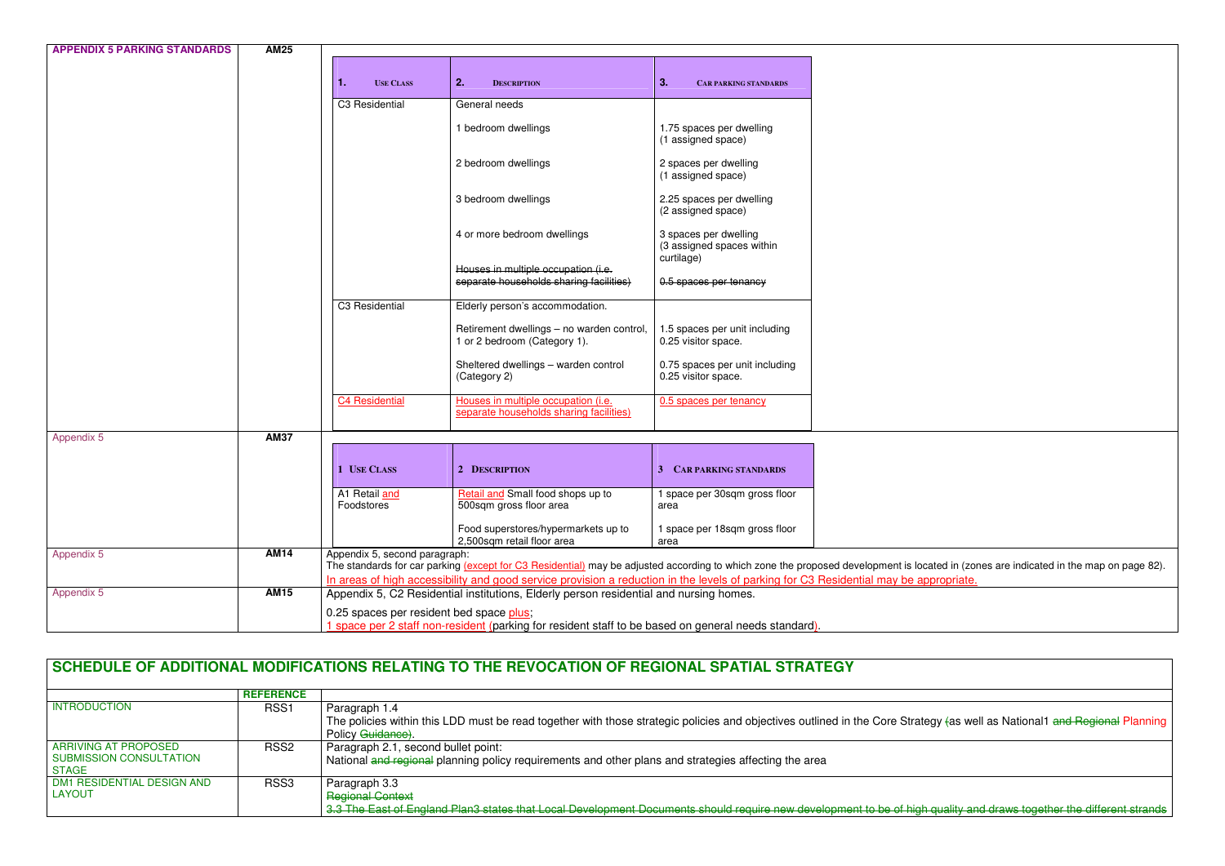| <b>APPENDIX 5 PARKING STANDARDS</b> | <b>AM25</b> |                                          |                                                                                                                                       |                                                       |                                                                                                                                                                                       |
|-------------------------------------|-------------|------------------------------------------|---------------------------------------------------------------------------------------------------------------------------------------|-------------------------------------------------------|---------------------------------------------------------------------------------------------------------------------------------------------------------------------------------------|
|                                     |             |                                          |                                                                                                                                       |                                                       |                                                                                                                                                                                       |
|                                     |             | -1.<br><b>USE CLASS</b>                  | 2.<br><b>DESCRIPTION</b>                                                                                                              | 3.<br><b>CAR PARKING STANDARDS</b>                    |                                                                                                                                                                                       |
|                                     |             | C3 Residential                           | General needs                                                                                                                         |                                                       |                                                                                                                                                                                       |
|                                     |             |                                          | 1 bedroom dwellings                                                                                                                   | 1.75 spaces per dwelling<br>(1 assigned space)        |                                                                                                                                                                                       |
|                                     |             |                                          | 2 bedroom dwellings                                                                                                                   | 2 spaces per dwelling<br>(1 assigned space)           |                                                                                                                                                                                       |
|                                     |             |                                          | 3 bedroom dwellings                                                                                                                   | 2.25 spaces per dwelling<br>(2 assigned space)        |                                                                                                                                                                                       |
|                                     |             |                                          | 4 or more bedroom dwellings                                                                                                           | 3 spaces per dwelling<br>(3 assigned spaces within    |                                                                                                                                                                                       |
|                                     |             |                                          | Houses in multiple occupation (i.e.<br>separate households sharing facilities)                                                        | curtilage)<br>0.5 spaces per tenancy                  |                                                                                                                                                                                       |
|                                     |             | C3 Residential                           | Elderly person's accommodation.                                                                                                       |                                                       |                                                                                                                                                                                       |
|                                     |             |                                          | Retirement dwellings - no warden control,<br>1 or 2 bedroom (Category 1).                                                             | 1.5 spaces per unit including<br>0.25 visitor space.  |                                                                                                                                                                                       |
|                                     |             |                                          | Sheltered dwellings - warden control<br>(Category 2)                                                                                  | 0.75 spaces per unit including<br>0.25 visitor space. |                                                                                                                                                                                       |
|                                     |             | C4 Residential                           | Houses in multiple occupation (i.e.<br>separate households sharing facilities)                                                        | 0.5 spaces per tenancy                                |                                                                                                                                                                                       |
| Appendix 5                          | <b>AM37</b> |                                          |                                                                                                                                       |                                                       |                                                                                                                                                                                       |
|                                     |             |                                          |                                                                                                                                       |                                                       |                                                                                                                                                                                       |
|                                     |             | 1 USE CLASS                              | 2 DESCRIPTION                                                                                                                         | 3 CAR PARKING STANDARDS                               |                                                                                                                                                                                       |
|                                     |             | A1 Retail and<br>Foodstores              | Retail and Small food shops up to<br>500sqm gross floor area                                                                          | 1 space per 30sqm gross floor<br>area                 |                                                                                                                                                                                       |
|                                     |             |                                          | Food superstores/hypermarkets up to<br>2,500sqm retail floor area                                                                     | 1 space per 18sqm gross floor<br>area                 |                                                                                                                                                                                       |
| Appendix 5                          | <b>AM14</b> | Appendix 5, second paragraph:            | In areas of high accessibility and good service provision a reduction in the levels of parking for C3 Residential may be appropriate. |                                                       | The standards for car parking (except for C3 Residential) may be adjusted according to which zone the proposed development is located in (zones are indicated in the map on page 82). |
| Appendix 5                          | <b>AM15</b> |                                          | Appendix 5, C2 Residential institutions, Elderly person residential and nursing homes.                                                |                                                       |                                                                                                                                                                                       |
|                                     |             | 0.25 spaces per resident bed space plus; |                                                                                                                                       |                                                       |                                                                                                                                                                                       |
|                                     |             |                                          | 1 space per 2 staff non-resident (parking for resident staff to be based on general needs standard).                                  |                                                       |                                                                                                                                                                                       |

## **SCHEDULE OF ADDITIONAL MODIFICATIONS RELATING TO THE REVOCATION OF REGIONAL SPATIAL STRATEGY**

|                                                                 | <b>REFERENCE</b> |                                                                                                                                                                                                                 |
|-----------------------------------------------------------------|------------------|-----------------------------------------------------------------------------------------------------------------------------------------------------------------------------------------------------------------|
| <b>INTRODUCTION</b>                                             | RSS <sub>1</sub> | Paragraph 1.4                                                                                                                                                                                                   |
|                                                                 |                  | The policies within this LDD must be read together with those strategic policies and objectives outlined in the Core Strategy (as well as National1 and Regional Planning                                       |
|                                                                 |                  | Policy Guidance).                                                                                                                                                                                               |
| <b>ARRIVING AT PROPOSED</b><br>SUBMISSION CONSULTATION<br>STAGE | RSS <sub>2</sub> | Paragraph 2.1, second bullet point:<br>National and regional planning policy requirements and other plans and strategies affecting the area                                                                     |
| DM1 RESIDENTIAL DESIGN AND<br>  LAYOUT                          | RSS <sub>3</sub> | Paragraph 3.3<br><b>Regional Context</b><br>3.3 The East of England Plan3 states that Local Development Documents should require new development to be of high quality and draws together the different strands |

a quality and draws together the different strands in Apple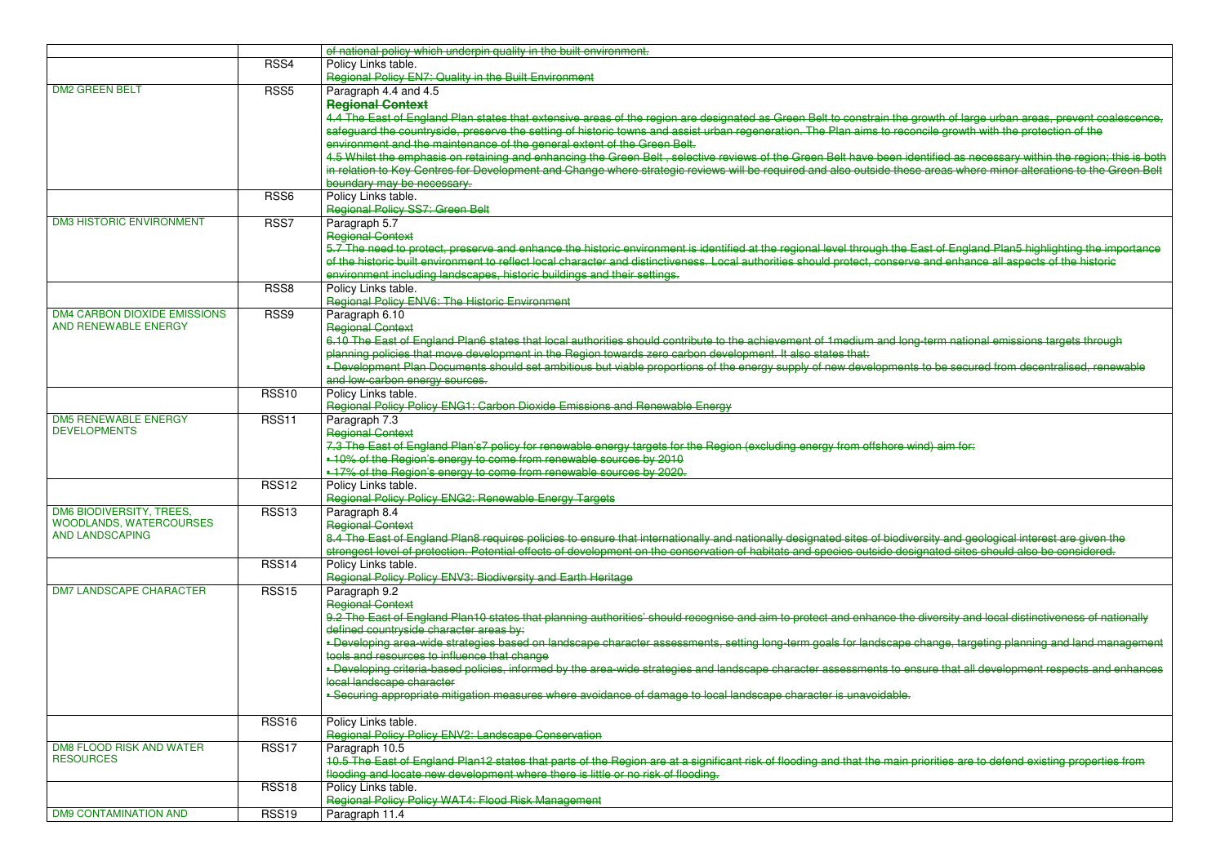|                                 |                  | of national policy which underpin quality in the built environment.                                                                                                       |
|---------------------------------|------------------|---------------------------------------------------------------------------------------------------------------------------------------------------------------------------|
|                                 | RSS4             | Policy Links table.                                                                                                                                                       |
|                                 |                  | Regional Policy EN7: Quality in the Built Environment                                                                                                                     |
| <b>DM2 GREEN BELT</b>           | RSS <sub>5</sub> | Paragraph 4.4 and 4.5                                                                                                                                                     |
|                                 |                  | <b>Regional Context</b>                                                                                                                                                   |
|                                 |                  | 4.4 The East of England Plan states that extensive areas of the region are designated as Green Belt to constrain the growth of large urban areas, prevent coalescence,    |
|                                 |                  | safeguard the countryside, preserve the setting of historic towns and assist urban regeneration. The Plan aims to reconcile growth with the protection of the             |
|                                 |                  | environment and the maintenance of the general extent of the Green Belt.                                                                                                  |
|                                 |                  | 4.5 Whilst the emphasis on retaining and enhancing the Green Belt, selective reviews of the Green Belt have been identified as necessary within the region; this is both  |
|                                 |                  | in relation to Key Centres for Development and Change where strategic reviews will be required and also outside these areas where minor alterations to the Green Belt     |
|                                 |                  |                                                                                                                                                                           |
|                                 |                  | boundary may be necessary.                                                                                                                                                |
|                                 | RSS <sub>6</sub> | Policy Links table.                                                                                                                                                       |
|                                 |                  | Regional Policy SS7: Green Belt                                                                                                                                           |
| <b>DM3 HISTORIC ENVIRONMENT</b> | RSS7             | Paragraph 5.7                                                                                                                                                             |
|                                 |                  | <b>Regional Context</b>                                                                                                                                                   |
|                                 |                  | 5.7 The need to protect, preserve and enhance the historic environment is identified at the regional level through the East of England Plan5 highlighting the importance  |
|                                 |                  | of the historic built environment to reflect local character and distinctiveness. Local authorities should protect, conserve and enhance all aspects of the historic      |
|                                 |                  | environment including landscapes, historic buildings and their settings.                                                                                                  |
|                                 | RSS <sub>8</sub> | Policy Links table.                                                                                                                                                       |
|                                 |                  | Regional Policy ENV6: The Historic Environment                                                                                                                            |
| DM4 CARBON DIOXIDE EMISSIONS    | RSS <sub>9</sub> | Paragraph 6.10                                                                                                                                                            |
| AND RENEWABLE ENERGY            |                  | <b>Regional Context</b>                                                                                                                                                   |
|                                 |                  | 6.10 The East of England Plan6 states that local authorities should contribute to the achievement of 1 medium and long-term national emissions targets through            |
|                                 |                  | planning policies that move development in the Region towards zero carbon development. It also states that:                                                               |
|                                 |                  | - Development Plan Documents should set ambitious but viable proportions of the energy supply of new developments to be secured from decentralised, renewable             |
|                                 |                  |                                                                                                                                                                           |
|                                 |                  | and low-carbon energy sources.                                                                                                                                            |
|                                 | <b>RSS10</b>     | Policy Links table.                                                                                                                                                       |
|                                 |                  | Regional Policy Policy ENG1: Carbon Dioxide Emissions and Renewable Energy                                                                                                |
| <b>DM5 RENEWABLE ENERGY</b>     | <b>RSS11</b>     | Paragraph 7.3                                                                                                                                                             |
| <b>DEVELOPMENTS</b>             |                  | <b>Regional Context</b>                                                                                                                                                   |
|                                 |                  | 7.3 The East of England Plan's7 policy for renewable energy targets for the Region (excluding energy from offshore wind) aim for:                                         |
|                                 |                  | • 10% of the Region's energy to come from renewable sources by 2010                                                                                                       |
|                                 |                  | -17% of the Region's energy to come from renewable sources by 2020.                                                                                                       |
|                                 | <b>RSS12</b>     | Policy Links table.                                                                                                                                                       |
|                                 |                  | Regional Policy Policy ENG2: Renewable Energy Targets                                                                                                                     |
| DM6 BIODIVERSITY, TREES,        | <b>RSS13</b>     | Paragraph 8.4                                                                                                                                                             |
| <b>WOODLANDS, WATERCOURSES</b>  |                  | <b>Regional Context</b>                                                                                                                                                   |
| <b>AND LANDSCAPING</b>          |                  | 8.4 The East of England Plan8 requires policies to ensure that internationally and nationally designated sites of biodiversity and geological interest are given the      |
|                                 |                  | strongest level of protection. Potential effects of development on the conservation of habitats and species outside designated sites should also be considered.           |
|                                 | <b>RSS14</b>     | Policy Links table.                                                                                                                                                       |
|                                 |                  | Regional Policy Policy ENV3: Biodiversity and Earth Heritage                                                                                                              |
| <b>DM7 LANDSCAPE CHARACTER</b>  |                  |                                                                                                                                                                           |
|                                 | <b>RSS15</b>     | Paragraph 9.2                                                                                                                                                             |
|                                 |                  | <b>Regional Context</b>                                                                                                                                                   |
|                                 |                  | 9.2 The East of England Plan10 states that planning authorities' should recognise and aim to protect and enhance the diversity and local distinctiveness of nationally    |
|                                 |                  | defined countryside character areas by:                                                                                                                                   |
|                                 |                  | - Developing area-wide strategies based on landscape character assessments, setting long-term goals for landscape change, targeting planning and land management          |
|                                 |                  | tools and resources to influence that change                                                                                                                              |
|                                 |                  | - Developing criteria-based policies, informed by the area-wide strategies and landscape character assessments to ensure that all development respects and enhances       |
|                                 |                  | local landscape character                                                                                                                                                 |
|                                 |                  | - Securing appropriate mitigation measures where avoidance of damage to local landscape character is unavoidable.                                                         |
|                                 |                  |                                                                                                                                                                           |
|                                 | <b>RSS16</b>     | Policy Links table.                                                                                                                                                       |
|                                 |                  | Regional Policy Policy ENV2: Landscape Conservation                                                                                                                       |
| <b>DM8 FLOOD RISK AND WATER</b> | <b>RSS17</b>     | Paragraph 10.5                                                                                                                                                            |
| <b>RESOURCES</b>                |                  | 10.5 The East of England Plan12 states that parts of the Region are at a significant risk of flooding and that the main priorities are to defend existing properties from |
|                                 |                  | flooding and locate new development where there is little or no risk of flooding.                                                                                         |
|                                 |                  |                                                                                                                                                                           |
|                                 | <b>RSS18</b>     | Policy Links table.                                                                                                                                                       |
|                                 |                  | Regional Policy Policy WAT4: Flood Risk Management                                                                                                                        |
| <b>DM9 CONTAMINATION AND</b>    | <b>RSS19</b>     | Paragraph 11.4                                                                                                                                                            |